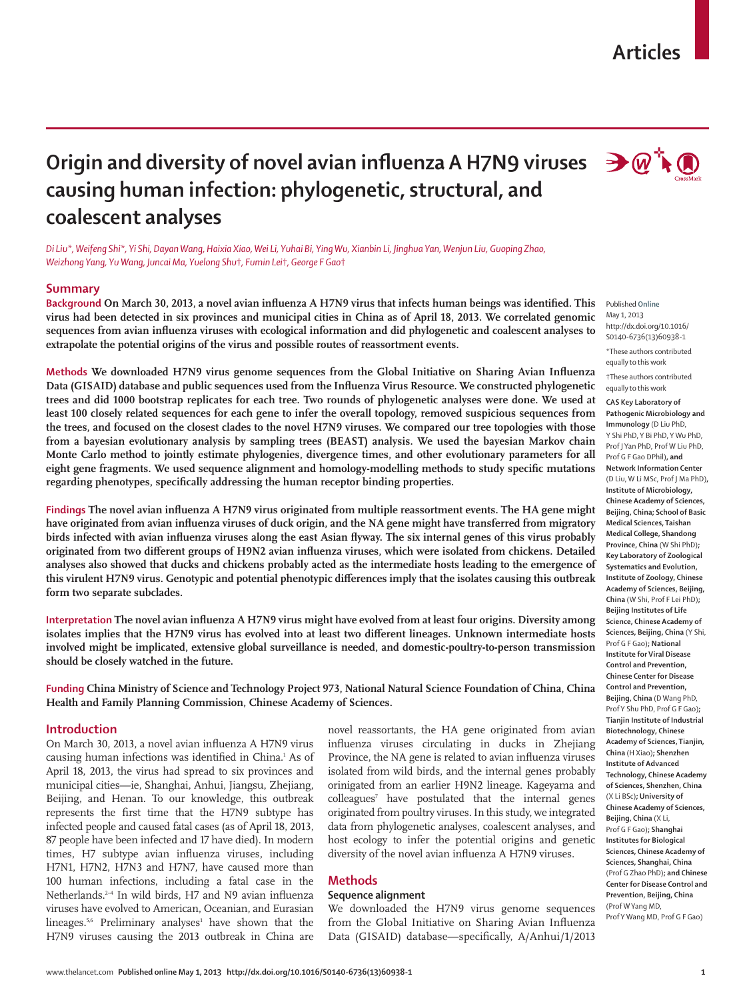## **Articles**



# **Origin and diversity of novel avian influenza A H7N9 viruses**  $\mathbf{P} \mathbf{W}^T \mathbf{R}$ **causing human infection: phylogenetic, structural, and coalescent analyses**

*Di Liu\*, Weifeng Shi\*, Yi Shi, Dayan Wang, Haixia Xiao, Wei Li, Yuhai Bi, Ying Wu, Xianbin Li, Jinghua Yan, Wenjun Liu, Guoping Zhao, Weizhong Yang, Yu Wang, Juncai Ma, Yuelong Shu*†*, Fumin Lei*†*, George F Gao*†

#### **Summary**

**Background On March 30, 2013, a novel avian influenza A H7N9 virus that infects human beings was identified. This virus had been detected in six provinces and municipal cities in China as of April 18, 2013. We correlated genomic sequences from avian influenza viruses with ecological information and did phylogenetic and coalescent analyses to extrapolate the potential origins of the virus and possible routes of reassortment events.**

**Methods We downloaded H7N9 virus genome sequences from the Global Initiative on Sharing Avian Influenza Data (GISAID) database and public sequences used from the Influenza Virus Resource. We constructed phylogenetic trees and did 1000 bootstrap replicates for each tree. Two rounds of phylogenetic analyses were done. We used at least 100 closely related sequences for each gene to infer the overall topology, removed suspicious sequences from the trees, and focused on the closest clades to the novel H7N9 viruses. We compared our tree topologies with those from a bayesian evolutionary analysis by sampling trees (BEAST) analysis. We used the bayesian Markov chain Monte Carlo method to jointly estimate phylogenies, divergence times, and other evolutionary parameters for all eight gene fragments. We used sequence alignment and homology-modelling methods to study specific mutations regarding phenotypes, specifically addressing the human receptor binding properties.**

**Findings The novel avian influenza A H7N9 virus originated from multiple reassortment events. The HA gene might have originated from avian influenza viruses of duck origin, and the NA gene might have transferred from migratory birds infected with avian influenza viruses along the east Asian flyway. The six internal genes of this virus probably originated from two different groups of H9N2 avian influenza viruses, which were isolated from chickens. Detailed analyses also showed that ducks and chickens probably acted as the intermediate hosts leading to the emergence of this virulent H7N9 virus. Genotypic and potential phenotypic differences imply that the isolates causing this outbreak form two separate subclades.**

**Interpretation The novel avian influenza A H7N9 virus might have evolved from at least four origins. Diversity among isolates implies that the H7N9 virus has evolved into at least two different lineages. Unknown intermediate hosts involved might be implicated, extensive global surveillance is needed, and domestic-poultry-to-person transmission should be closely watched in the future.**

**Funding China Ministry of Science and Technology Project 973, National Natural Science Foundation of China, China Health and Family Planning Commission, Chinese Academy of Sciences.**

## **Introduction**

On March 30, 2013, a novel avian influenza A H7N9 virus causing human infections was identified in China.<sup>1</sup> As of April 18, 2013, the virus had spread to six provinces and municipal cities—ie, Shanghai, Anhui, Jiangsu, Zhejiang, Beijing, and Henan. To our knowledge, this outbreak represents the first time that the H7N9 subtype has infected people and caused fatal cases (as of April 18, 2013, 87 people have been infected and 17 have died). In modern times, H7 subtype avian influenza viruses, including H7N1, H7N2, H7N3 and H7N7, have caused more than 100 human infections, including a fatal case in the Netherlands.<sup>2-4</sup> In wild birds, H7 and N9 avian influenza viruses have evolved to American, Oceanian, and Eurasian lineages.<sup>5,6</sup> Preliminary analyses<sup>1</sup> have shown that the H7N9 viruses causing the 2013 outbreak in China are

novel reassortants, the HA gene originated from avian influenza viruses circulating in ducks in Zhejiang Province, the NA gene is related to avian influenza viruses isolated from wild birds, and the internal genes probably orinigated from an earlier H9N2 lineage. Kageyama and colleagues<sup>7</sup> have postulated that the internal genes originated from poultry viruses. In this study, we integrated data from phylogenetic analyses, coalescent analyses, and host ecology to infer the potential origins and genetic diversity of the novel avian influenza A H7N9 viruses.

## **Methods**

#### **Sequence alignment**

We downloaded the H7N9 virus genome sequences from the Global Initiative on Sharing Avian Influenza Data (GISAID) database—specifically, A/Anhui/1/2013

#### Published **Online** May 1, 2013 http://dx.doi.org/10.1016/ S0140-6736(13)60938-1

\*These authors contributed equally to this work

†These authors contributed equally to this work

**CAS Key Laboratory of Pathogenic Microbiology and Immunology** (D Liu PhD, Y Shi PhD, Y Bi PhD, Y Wu PhD, Prof J Yan PhD, Prof W Liu PhD, Prof G F Gao DPhil)**, and Network Information Center**  (D Liu, W Li MSc, Prof J Ma PhD)**, Institute of Microbiology, Chinese Academy of Sciences, Beijing, China; School of Basic Medical Sciences, Taishan Medical College, Shandong Province, China** (W Shi PhD)**; Key Laboratory of Zoological Systematics and Evolution, Institute of Zoology, Chinese Academy of Sciences, Beijing, China** (W Shi, Prof F Lei PhD)**; Beijing Institutes of Life Science, Chinese Academy of Sciences, Beijing, China** (Y Shi, Prof G F Gao)**; National Institute for Viral Disease Control and Prevention, Chinese Center for Disease Control and Prevention, Beijing, China** (D Wang PhD, Prof Y Shu PhD, Prof G F Gao)**; Tianjin Institute of Industrial Biotechnology, Chinese Academy of Sciences, Tianjin, China** (H Xiao)**; Shenzhen Institute of Advanced Technology, Chinese Academy of Sciences, Shenzhen, China**  (X Li BSc)**; University of Chinese Academy of Sciences, Beijing, China** (X Li, Prof G F Gao)**; Shanghai Institutes for Biological Sciences, Chinese Academy of Sciences, Shanghai, China** (Prof G Zhao PhD)**; and Chinese Center for Disease Control and Prevention, Beijing, China**  (Prof W Yang MD,

Prof Y Wang MD, Prof G F Gao)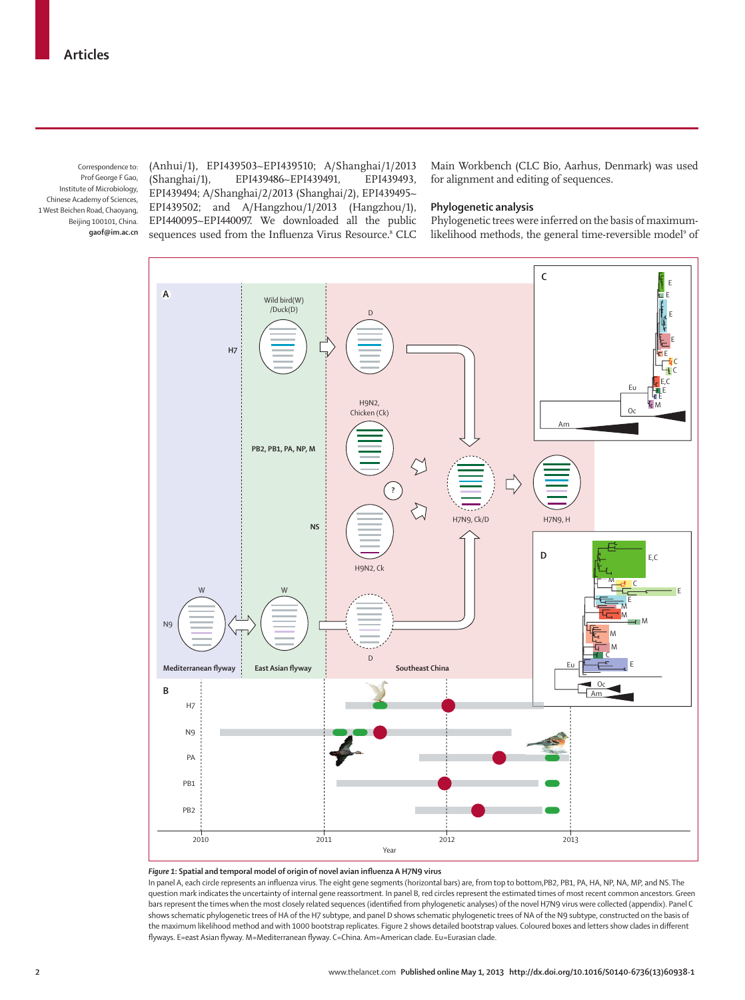Correspondence to: Prof George F Gao, Institute of Microbiology, Chinese Academy of Sciences, 1 West Beichen Road, Chaoyang, Beijing 100101, China. **gaof@im.ac.cn**

(Anhui/1), EPI439503~EPI439510; A/Shanghai/1/2013 (Shanghai/1), EPI439486~EPI439491, EPI439493, EPI439494; A/Shanghai/2/2013 (Shanghai/2), EPI439495~ EPI439502; and A/Hangzhou/1/2013 (Hangzhou/1), EPI440095~EPI440097. We downloaded all the public sequences used from the Influenza Virus Resource.8 CLC Main Workbench (CLC Bio, Aarhus, Denmark) was used for alignment and editing of sequences.

## **Phylogenetic analysis**

Phylogenetic trees were inferred on the basis of maximumlikelihood methods, the general time-reversible model<sup>9</sup> of



#### *Figure 1***: Spatial and temporal model of origin of novel avian influenza A H7N9 virus**

In panel A, each circle represents an influenza virus. The eight gene segments (horizontal bars) are, from top to bottom,PB2, PB1, PA, HA, NP, NA, MP, and NS. The question mark indicates the uncertainty of internal gene reassortment. In panel B, red circles represent the estimated times of most recent common ancestors. Green bars represent the times when the most closely related sequences (identified from phylogenetic analyses) of the novel H7N9 virus were collected (appendix). Panel C shows schematic phylogenetic trees of HA of the H7 subtype, and panel D shows schematic phylogenetic trees of NA of the N9 subtype, constructed on the basis of the maximum likelihood method and with 1000 bootstrap replicates. Figure 2 shows detailed bootstrap values. Coloured boxes and letters show clades in different flyways. E=east Asian flyway. M=Mediterranean flyway. C=China. Am=American clade. Eu=Eurasian clade.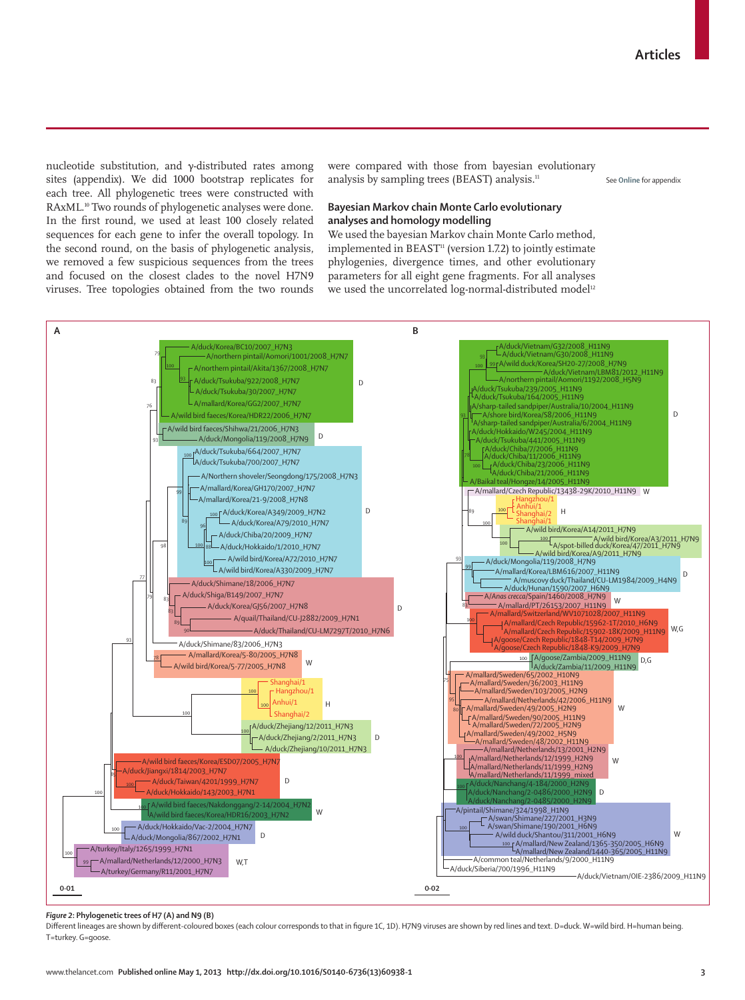nucleotide substitution, and γ-distributed rates among sites (appendix). We did 1000 bootstrap replicates for each tree. All phylogenetic trees were constructed with RAxML.<sup>10</sup> Two rounds of phylogenetic analyses were done. In the first round, we used at least 100 closely related sequences for each gene to infer the overall topology. In the second round, on the basis of phylogenetic analysis, we removed a few suspicious sequences from the trees and focused on the closest clades to the novel H7N9 viruses. Tree topologies obtained from the two rounds

were compared with those from bayesian evolutionary analysis by sampling trees (BEAST) analysis.<sup>11</sup>

See **Online** for appendix

## **Bayesian Markov chain Monte Carlo evolutionary analyses and homology modelling**

We used the bayesian Markov chain Monte Carlo method, implemented in  $BEAST<sup>n1</sup>$  (version 1.7.2) to jointly estimate phylogenies, divergence times, and other evolutionary parameters for all eight gene fragments. For all analyses we used the uncorrelated log-normal-distributed model<sup>12</sup>



*Figure 2***: Phylogenetic trees of H7 (A) and N9 (B)**

Different lineages are shown by different-coloured boxes (each colour corresponds to that in figure 1C, 1D). H7N9 viruses are shown by red lines and text. D=duck. W=wild bird. H=human being. T=turkey. G=goose.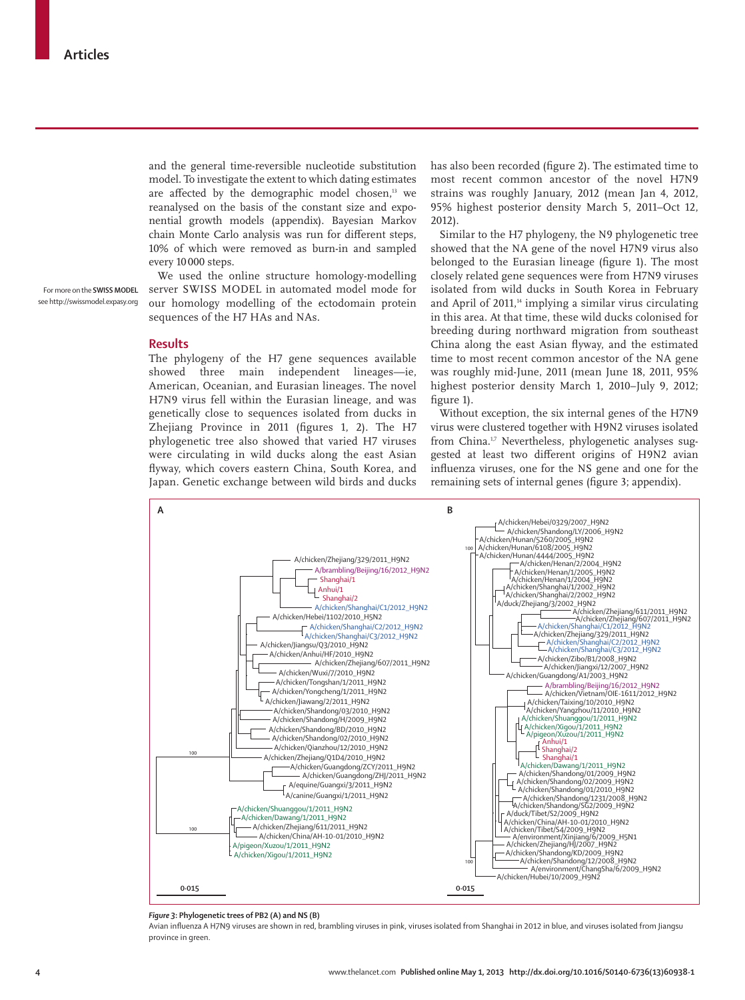and the general time-reversible nucleotide substitution model. To investigate the extent to which dating estimates are affected by the demographic model chosen,<sup>13</sup> we reanalysed on the basis of the constant size and exponential growth models (appendix). Bayesian Markov chain Monte Carlo analysis was run for different steps, 10% of which were removed as burn-in and sampled every 10 000 steps.

For more on the **SWISS MODEL**  see http://swissmodel.expasy.org

We used the online structure homology-modelling server SWISS MODEL in automated model mode for our homology modelling of the ectodomain protein sequences of the H7 HAs and NAs.

### **Results**

The phylogeny of the H7 gene sequences available showed three main independent lineages—ie, American, Oceanian, and Eurasian lineages. The novel H7N9 virus fell within the Eurasian lineage, and was genetically close to sequences isolated from ducks in Zhejiang Province in 2011 (figures 1, 2). The H7 phylogenetic tree also showed that varied H7 viruses were circulating in wild ducks along the east Asian flyway, which covers eastern China, South Korea, and Japan. Genetic exchange between wild birds and ducks has also been recorded (figure 2). The estimated time to most recent common ancestor of the novel H7N9 strains was roughly January, 2012 (mean Jan 4, 2012, 95% highest posterior density March 5, 2011–Oct 12, 2012).

Similar to the H7 phylogeny, the N9 phylogenetic tree showed that the NA gene of the novel H7N9 virus also belonged to the Eurasian lineage (figure 1). The most closely related gene sequences were from H7N9 viruses isolated from wild ducks in South Korea in February and April of  $2011$ ,<sup>14</sup> implying a similar virus circulating in this area. At that time, these wild ducks colonised for breeding during northward migration from southeast China along the east Asian flyway, and the estimated time to most recent common ancestor of the NA gene was roughly mid-June, 2011 (mean June 18, 2011, 95% highest posterior density March 1, 2010–July 9, 2012; figure 1).

Without exception, the six internal genes of the H7N9 virus were clustered together with H9N2 viruses isolated from China.<sup>17</sup> Nevertheless, phylogenetic analyses suggested at least two different origins of H9N2 avian influenza viruses, one for the NS gene and one for the remaining sets of internal genes (figure 3; appendix).



*Figure 3***: Phylogenetic trees of PB2 (A) and NS (B)**

Avian influenza A H7N9 viruses are shown in red, brambling viruses in pink, viruses isolated from Shanghai in 2012 in blue, and viruses isolated from Jiangsu province in green.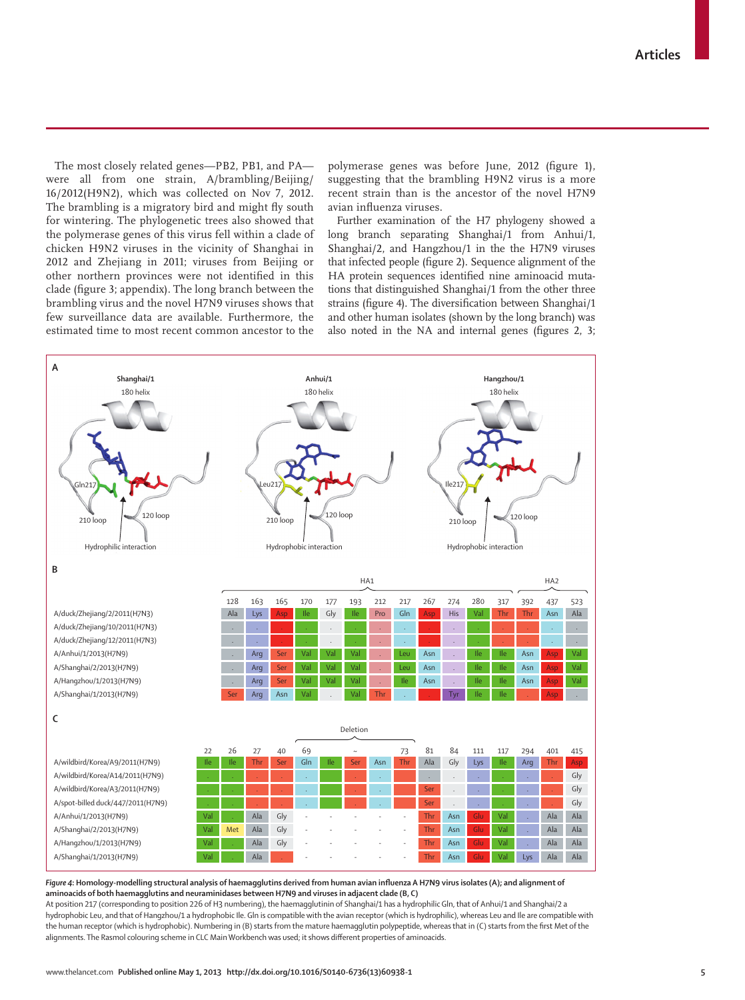The most closely related genes—PB2, PB1, and PA were all from one strain, A/brambling/Beijing/ 16/2012(H9N2), which was collected on Nov 7, 2012. The brambling is a migratory bird and might fly south for wintering. The phylogenetic trees also showed that the polymerase genes of this virus fell within a clade of chicken H9N2 viruses in the vicinity of Shanghai in 2012 and Zhejiang in 2011; viruses from Beijing or other northern provinces were not identified in this clade (figure 3; appendix). The long branch between the brambling virus and the novel H7N9 viruses shows that few surveillance data are available. Furthermore, the estimated time to most recent common ancestor to the polymerase genes was before June, 2012 (figure 1), suggesting that the brambling H9N2 virus is a more recent strain than is the ancestor of the novel H7N9 avian influenza viruses.

Further examination of the H7 phylogeny showed a long branch separating Shanghai/1 from Anhui/1, Shanghai/2, and Hangzhou/1 in the the H7N9 viruses that infected people (figure 2). Sequence alignment of the HA protein sequences identified nine aminoacid mutations that distinguished Shanghai/1 from the other three strains (figure 4). The diversification between Shanghai/1 and other human isolates (shown by the long branch) was also noted in the NA and internal genes (figures 2, 3;



#### *Figure 4***: Homology-modelling structural analysis of haemagglutins derived from human avian influenza A H7N9 virus isolates (A); and alignment of aminoacids of both haemagglutins and neuraminidases between H7N9 and viruses in adjacent clade (B, C)**

At position 217 (corresponding to position 226 of H3 numbering), the haemagglutinin of Shanghai/1 has a hydrophilic Gln, that of Anhui/1 and Shanghai/2 a hydrophobic Leu, and that of Hangzhou/1 a hydrophobic Ile. Gln is compatible with the avian receptor (which is hydrophilic), whereas Leu and Ile are compatible with the human receptor (which is hydrophobic). Numbering in (B) starts from the mature haemagglutin polypeptide, whereas that in (C) starts from the first Met of the alignments. The Rasmol colouring scheme in CLC Main Workbench was used; it shows different properties of aminoacids.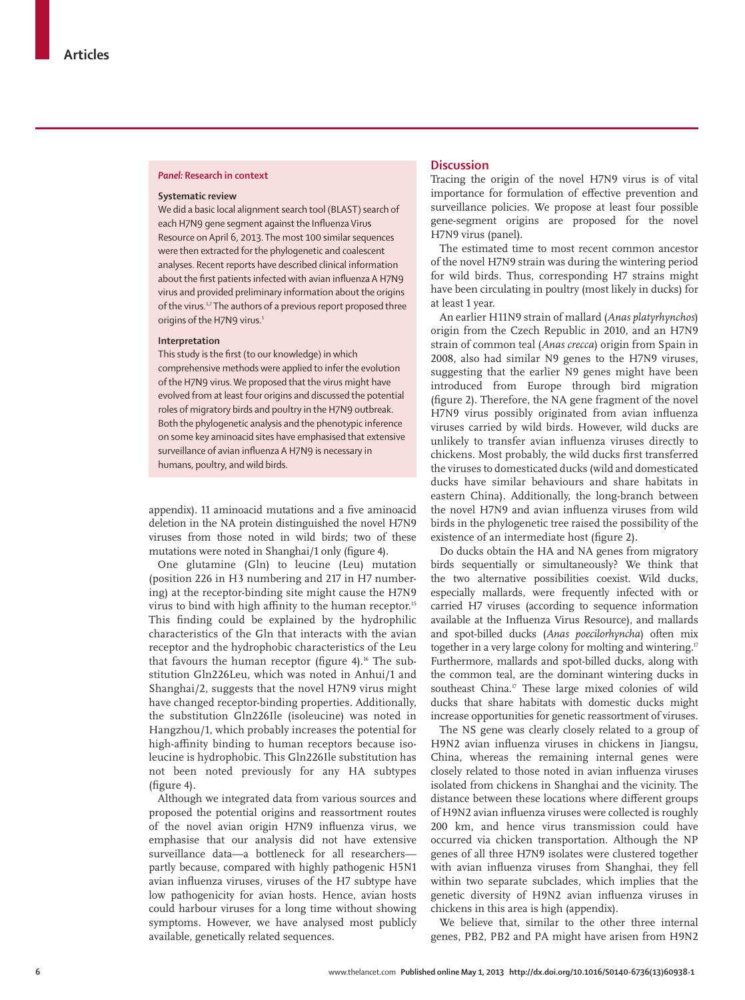## *Panel:* **Research in context**

## **Systematic review**

We did a basic local alignment search tool (BLAST) search of each H7N9 gene segment against the Influenza Virus Resource on April 6, 2013. The most 100 similar sequences were then extracted for the phylogenetic and coalescent analyses. Recent reports have described clinical information about the first patients infected with avian influenza A H7N9 virus and provided preliminary information about the origins of the virus.<sup>1,7</sup> The authors of a previous report proposed three origins of the H7N9 virus.<sup>1</sup>

## **Interpretation**

This study is the first (to our knowledge) in which comprehensive methods were applied to infer the evolution of the H7N9 virus. We proposed that the virus might have evolved from at least four origins and discussed the potential roles of migratory birds and poultry in the H7N9 outbreak. Both the phylogenetic analysis and the phenotypic inference on some key aminoacid sites have emphasised that extensive surveillance of avian influenza A H7N9 is necessary in humans, poultry, and wild birds.

appendix). 11 aminoacid mutations and a five aminoacid deletion in the NA protein distinguished the novel H7N9 viruses from those noted in wild birds; two of these mutations were noted in Shanghai/1 only (figure 4).

One glutamine (Gln) to leucine (Leu) mutation (position 226 in H3 numbering and 217 in H7 numbering) at the receptor-binding site might cause the H7N9 virus to bind with high affinity to the human receptor.<sup>15</sup> This finding could be explained by the hydrophilic characteristics of the Gln that interacts with the avian receptor and the hydrophobic characteristics of the Leu that favours the human receptor (figure 4).<sup>16</sup> The substitution Gln226Leu, which was noted in Anhui/1 and Shanghai/2, suggests that the novel H7N9 virus might have changed receptor-binding properties. Additionally, the substitution Gln226Ile (isoleucine) was noted in Hangzhou/1, which probably increases the potential for high-affinity binding to human receptors because isoleucine is hydrophobic. This Gln226Ile substitution has not been noted previously for any HA subtypes (figure 4).

Although we integrated data from various sources and proposed the potential origins and reassortment routes of the novel avian origin H7N9 influenza virus, we emphasise that our analysis did not have extensive surveillance data—a bottleneck for all researchers partly because, compared with highly pathogenic H5N1 avian influenza viruses, viruses of the H7 subtype have low pathogenicity for avian hosts. Hence, avian hosts could harbour viruses for a long time without showing symptoms. However, we have analysed most publicly available, genetically related sequences.

## **Discussion**

Tracing the origin of the novel H7N9 virus is of vital importance for formulation of effective prevention and surveillance policies. We propose at least four possible gene-segment origins are proposed for the novel H7N9 virus (panel).

The estimated time to most recent common ancestor of the novel H7N9 strain was during the wintering period for wild birds. Thus, corresponding H7 strains might have been circulating in poultry (most likely in ducks) for at least 1 year.

An earlier H11N9 strain of mallard (*Anas platyrhynchos*) origin from the Czech Republic in 2010, and an H7N9 strain of common teal (*Anas crecca*) origin from Spain in 2008, also had similar N9 genes to the H7N9 viruses, suggesting that the earlier N9 genes might have been introduced from Europe through bird migration (figure 2). Therefore, the NA gene fragment of the novel H7N9 virus possibly originated from avian influenza viruses carried by wild birds. However, wild ducks are unlikely to transfer avian influenza viruses directly to chickens. Most probably, the wild ducks first transferred the viruses to domesticated ducks (wild and domesticated ducks have similar behaviours and share habitats in eastern China). Additionally, the long-branch between the novel H7N9 and avian influenza viruses from wild birds in the phylogenetic tree raised the possibility of the existence of an intermediate host (figure 2).

Do ducks obtain the HA and NA genes from migratory birds sequentially or simultaneously? We think that the two alternative possibilities coexist. Wild ducks, especially mallards, were frequently infected with or carried H7 viruses (according to sequence information available at the Influenza Virus Resource), and mallards and spot-billed ducks (*Anas poecilorhyncha*) often mix together in a very large colony for molting and wintering.<sup>17</sup> Furthermore, mallards and spot-billed ducks, along with the common teal, are the dominant wintering ducks in southeast China.<sup>17</sup> These large mixed colonies of wild ducks that share habitats with domestic ducks might increase opportunities for genetic reassortment of viruses.

The NS gene was clearly closely related to a group of H9N2 avian influenza viruses in chickens in Jiangsu, China, whereas the remaining internal genes were closely related to those noted in avian influenza viruses isolated from chickens in Shanghai and the vicinity. The distance between these locations where different groups of H9N2 avian influenza viruses were collected is roughly 200 km, and hence virus transmission could have occurred via chicken transportation. Although the NP genes of all three H7N9 isolates were clustered together with avian influenza viruses from Shanghai, they fell within two separate subclades, which implies that the genetic diversity of H9N2 avian influenza viruses in chickens in this area is high (appendix).

We believe that, similar to the other three internal genes, PB2, PB2 and PA might have arisen from H9N2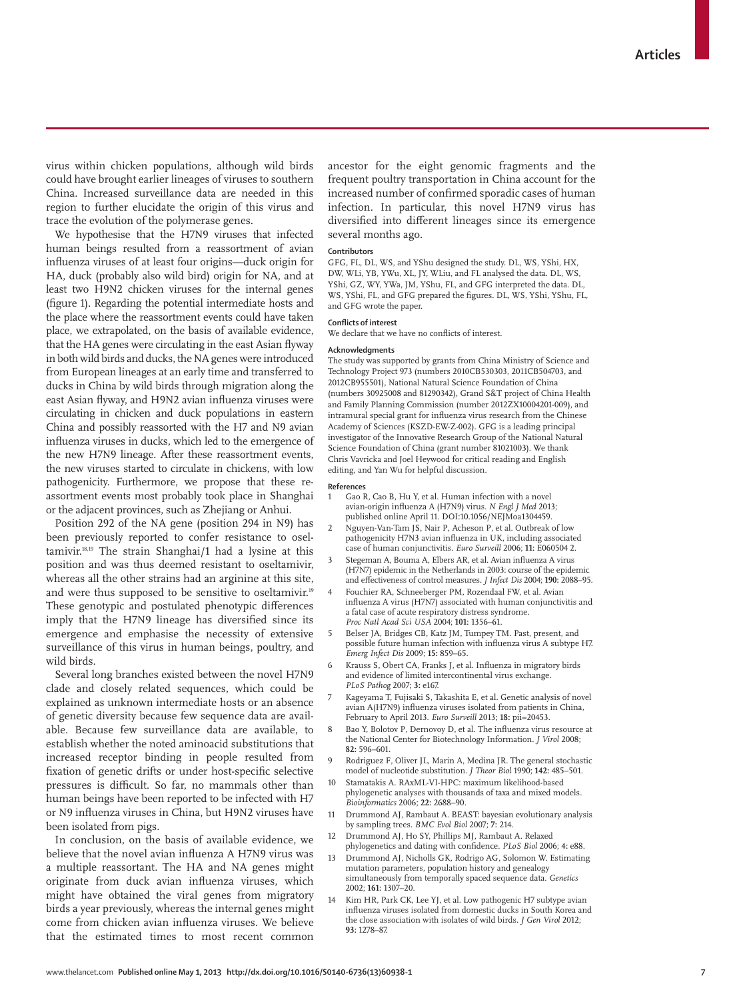virus within chicken populations, although wild birds could have brought earlier lineages of viruses to southern China. Increased surveillance data are needed in this region to further elucidate the origin of this virus and trace the evolution of the polymerase genes.

We hypothesise that the H7N9 viruses that infected human beings resulted from a reassortment of avian influenza viruses of at least four origins—duck origin for HA, duck (probably also wild bird) origin for NA, and at least two H9N2 chicken viruses for the internal genes (figure 1). Regarding the potential intermediate hosts and the place where the reassortment events could have taken place, we extrapolated, on the basis of available evidence, that the HA genes were circulating in the east Asian flyway in both wild birds and ducks, the NA genes were introduced from European lineages at an early time and transferred to ducks in China by wild birds through migration along the east Asian flyway, and H9N2 avian influenza viruses were circulating in chicken and duck populations in eastern China and possibly reassorted with the H7 and N9 avian influenza viruses in ducks, which led to the emergence of the new H7N9 lineage. After these reassortment events, the new viruses started to circulate in chickens, with low pathogenicity. Furthermore, we propose that these reassortment events most probably took place in Shanghai or the adjacent provinces, such as Zhejiang or Anhui.

Position 292 of the NA gene (position 294 in N9) has been previously reported to confer resistance to oseltamivir.18,19 The strain Shanghai/1 had a lysine at this position and was thus deemed resistant to oseltamivir, whereas all the other strains had an arginine at this site, and were thus supposed to be sensitive to oseltamivir.<sup>19</sup> These genotypic and postulated phenotypic differences imply that the H7N9 lineage has diversified since its emergence and emphasise the necessity of extensive surveillance of this virus in human beings, poultry, and wild birds.

Several long branches existed between the novel H7N9 clade and closely related sequences, which could be explained as unknown intermediate hosts or an absence of genetic diversity because few sequence data are available. Because few surveillance data are available, to establish whether the noted aminoacid substitutions that increased receptor binding in people resulted from fixation of genetic drifts or under host-specific selective pressures is difficult. So far, no mammals other than human beings have been reported to be infected with H7 or N9 influenza viruses in China, but H9N2 viruses have been isolated from pigs.

In conclusion, on the basis of available evidence, we believe that the novel avian influenza A H7N9 virus was a multiple reassortant. The HA and NA genes might originate from duck avian influenza viruses, which might have obtained the viral genes from migratory birds a year previously, whereas the internal genes might come from chicken avian influenza viruses. We believe that the estimated times to most recent common

ancestor for the eight genomic fragments and the frequent poultry transportation in China account for the increased number of confirmed sporadic cases of human infection. In particular, this novel H7N9 virus has diversified into different lineages since its emergence several months ago.

#### **Contributors**

GFG, FL, DL, WS, and YShu designed the study. DL, WS, YShi, HX, DW, WLi, YB, YWu, XL, JY, WLiu, and FL analysed the data. DL, WS, YShi, GZ, WY, YWa, JM, YShu, FL, and GFG interpreted the data. DL, WS, YShi, FL, and GFG prepared the figures. DL, WS, YShi, YShu, FL, and GFG wrote the paper.

#### **Conflicts of interest**

We declare that we have no conflicts of interest.

#### **Acknowledgments**

The study was supported by grants from China Ministry of Science and Technology Project 973 (numbers 2010CB530303, 2011CB504703, and 2012CB955501), National Natural Science Foundation of China (numbers 30925008 and 81290342), Grand S&T project of China Health and Family Planning Commission (number 2012ZX10004201-009), and intramural special grant for influenza virus research from the Chinese Academy of Sciences (KSZD-EW-Z-002). GFG is a leading principal investigator of the Innovative Research Group of the National Natural Science Foundation of China (grant number 81021003). We thank Chris Vavricka and Joel Heywood for critical reading and English editing, and Yan Wu for helpful discussion.

#### **References**

- 1 Gao R, Cao B, Hu Y, et al. Human infection with a novel avian-origin influenza A (H7N9) virus. *N Engl J Med* 2013; published online April 11. DOI:10.1056/NEJMoa1304459.
- 2 Nguyen-Van-Tam JS, Nair P, Acheson P, et al. Outbreak of low pathogenicity H7N3 avian influenza in UK, including associated case of human conjunctivitis. *Euro Surveill* 2006; **11:** E060504 2.
- 3 Stegeman A, Bouma A, Elbers AR, et al. Avian influenza A virus (H7N7) epidemic in the Netherlands in 2003: course of the epidemic and effectiveness of control measures. *J Infect Dis* 2004; **190:** 2088–95.
- 4 Fouchier RA, Schneeberger PM, Rozendaal FW, et al. Avian influenza A virus (H7N7) associated with human conjunctivitis and a fatal case of acute respiratory distress syndrome. *Proc Natl Acad Sci USA* 2004; **101:** 1356–61.
- 5 Belser JA, Bridges CB, Katz JM, Tumpey TM. Past, present, and possible future human infection with influenza virus A subtype H7. *Emerg Infect Dis* 2009; **15:** 859–65.
- Krauss S, Obert CA, Franks J, et al. Influenza in migratory birds and evidence of limited intercontinental virus exchange. *PLoS Pathog* 2007; **3:** e167.
- 7 Kageyama T, Fujisaki S, Takashita E, et al. Genetic analysis of novel avian A(H7N9) influenza viruses isolated from patients in China, February to April 2013. *Euro Surveill* 2013; **18:** pii=20453*.*
- 8 Bao Y, Bolotov P, Dernovoy D, et al. The influenza virus resource at the National Center for Biotechnology Information. *J Virol* 2008; **82:** 596–601.
- 9 Rodriguez F, Oliver JL, Marin A, Medina JR. The general stochastic model of nucleotide substitution. *J Theor Biol* 1990; **142:** 485–501.
- 10 Stamatakis A. RAxML-VI-HPC: maximum likelihood-based phylogenetic analyses with thousands of taxa and mixed models. *Bioinformatics* 2006; **22:** 2688–90.
- 11 Drummond AJ, Rambaut A. BEAST: bayesian evolutionary analysis by sampling trees. *BMC Evol Biol* 2007; **7:** 214.
- 12 Drummond AJ, Ho SY, Phillips MJ, Rambaut A. Relaxed phylogenetics and dating with confidence. *PLoS Biol* 2006; **4:** e88.
- 13 Drummond AJ, Nicholls GK, Rodrigo AG, Solomon W. Estimating mutation parameters, population history and genealogy simultaneously from temporally spaced sequence data. *Genetics* 2002; **161:** 1307–20.
- 14 Kim HR, Park CK, Lee YJ, et al. Low pathogenic H7 subtype avian influenza viruses isolated from domestic ducks in South Korea and the close association with isolates of wild birds. *J Gen Virol* 2012; **93:** 1278–87.